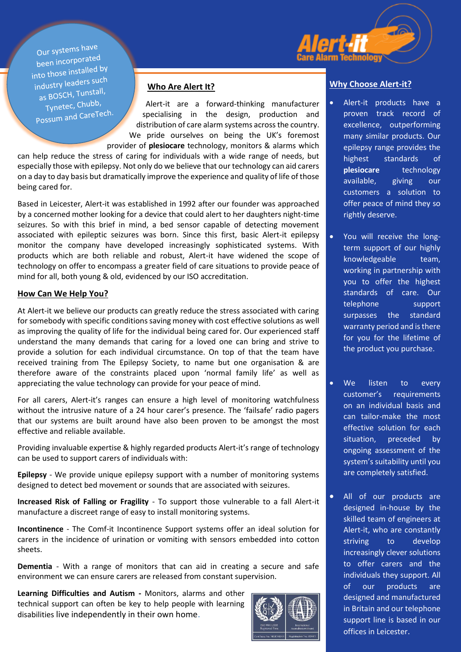

Our systems have been incorporated been incorport<br>into those installed by into those there<br>industry leaders such as BOSCH, Tunstall, Tynetec, Chubb, Tyneted, Champhone Possum and CareTech.

#### **Who Are Alert It?**

Alert-it are a forward-thinking manufacturer specialising in the design, production and distribution of care alarm systems across the country. We pride ourselves on being the UK's foremost provider of **plesiocare** technology, monitors & alarms which

can help reduce the stress of caring for individuals with a wide range of needs, but especially those with epilepsy. Not only do we believe that our technology can aid carers on a day to day basis but dramatically improve the experience and quality of life of those being cared for.

Based in Leicester, Alert-it was established in 1992 after our founder was approached by a concerned mother looking for a device that could alert to her daughters night-time seizures. So with this brief in mind, a bed sensor capable of detecting movement associated with epileptic seizures was born. Since this first, basic Alert-it epilepsy monitor the company have developed increasingly sophisticated systems. With products which are both reliable and robust, Alert-it have widened the scope of technology on offer to encompass a greater field of care situations to provide peace of mind for all, both young & old, evidenced by our ISO accreditation.

#### **How Can We Help You?**

At Alert-it we believe our products can greatly reduce the stress associated with caring for somebody with specific conditions saving money with cost effective solutions as well as improving the quality of life for the individual being cared for. Our experienced staff understand the many demands that caring for a loved one can bring and strive to provide a solution for each individual circumstance. On top of that the team have received training from The Epilepsy Society, to name but one organisation & are therefore aware of the constraints placed upon 'normal family life' as well as appreciating the value technology can provide for your peace of mind.

For all carers, Alert-it's ranges can ensure a high level of monitoring watchfulness without the intrusive nature of a 24 hour carer's presence. The 'failsafe' radio pagers that our systems are built around have also been proven to be amongst the most effective and reliable available.

Providing invaluable expertise & highly regarded products Alert-it's range of technology can be used to support carers of individuals with:

**Epilepsy** - We provide unique epilepsy support with a number of monitoring systems designed to detect bed movement or sounds that are associated with seizures.

**Increased Risk of Falling or Fragility** - To support those vulnerable to a fall Alert-it manufacture a discreet range of easy to install monitoring systems.

**Incontinence** - The Comf-it Incontinence Support systems offer an ideal solution for carers in the incidence of urination or vomiting with sensors embedded into cotton sheets.

**Dementia** - With a range of monitors that can aid in creating a secure and safe environment we can ensure carers are released from constant supervision.

**Learning Difficulties and Autism -** Monitors, alarms and other technical support can often be key to help people with learning disabilities live independently in their own home.



#### **Why Choose Alert-it?**

- Alert-it products have a proven track record of excellence, outperforming many similar products. Our epilepsy range provides the highest standards of **plesiocare** technology available, giving our customers a solution to offer peace of mind they so rightly deserve.
- You will receive the longterm support of our highly knowledgeable team, working in partnership with you to offer the highest standards of care. Our telephone support surpasses the standard warranty period and is there for you for the lifetime of the product you purchase.
- We listen to every customer's requirements on an individual basis and can tailor-make the most effective solution for each situation, preceded by ongoing assessment of the system's suitability until you are completely satisfied.
- All of our products are designed in-house by the skilled team of engineers at Alert-it, who are constantly striving to develop increasingly clever solutions to offer carers and the individuals they support. All of our products are designed and manufactured in Britain and our telephone support line is based in our offices in Leicester.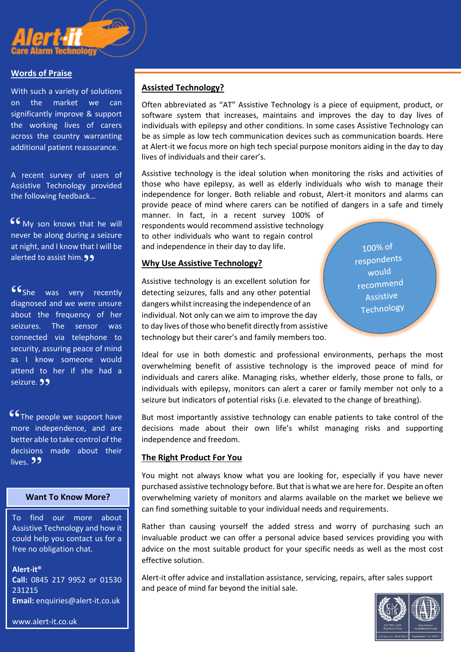

#### **Words of Praise**

With such a variety of solutions on the market we can significantly improve & support the working lives of carers across the country warranting additional patient reassurance.

A recent survey of users of Assistive Technology provided the following feedback…

**66** My son knows that he will never be along during a seizure never be along during a seizure at night, and I know that I will be alerted to assist him. **99** 

**She** was very recently<br>diagnosed and we\_were\_unsure diagnosed and we were unsure about the frequency of her seizures. The sensor was connected via telephone to security, assuring peace of mind as I know someone would attend to her if she had a seizure. 99

**S6** The people we support have<br>more independence and are more independence, and are better able to take control of the decisions made about their lives. **99** 

#### **Want To Know More?**

To find our more about Assistive Technology and how it could help you contact us for a free no obligation chat.

**Alert-it® Call:** 0845 217 9952 or 01530 231215 **Email:** [enquiries@alert-it.co.uk](mailto:enquiries@alert-it.co.uk)

www.alert-it.co.uk

### **Assisted Technology?**

Often abbreviated as "AT" Assistive Technology is a piece of equipment, product, or software system that increases, maintains and improves the day to day lives of individuals with epilepsy and other conditions. In some cases Assistive Technology can be as simple as low tech communication devices such as communication boards. Here at Alert-it we focus more on high tech special purpose monitors aiding in the day to day lives of individuals and their carer's.

Assistive technology is the ideal solution when monitoring the risks and activities of those who have epilepsy, as well as elderly individuals who wish to manage their independence for longer. Both reliable and robust, Alert-it monitors and alarms can provide peace of mind where carers can be notified of dangers in a safe and timely

manner. In fact, in a recent survey 100% of respondents would recommend assistive technology to other individuals who want to regain control and independence in their day to day life.

#### **Why Use Assistive Technology?**

Assistive technology is an excellent solution for detecting seizures, falls and any other potential dangers whilst increasing the independence of an individual. Not only can we aim to improve the day to day lives of those who benefit directly from assistive technology but their carer's and family members too.

 $100\%$  of respondents would recommend Assistive Technology

Ideal for use in both domestic and professional environments, perhaps the most overwhelming benefit of assistive technology is the improved peace of mind for individuals and carers alike. Managing risks, whether elderly, those prone to falls, or individuals with epilepsy, monitors can alert a carer or family member not only to a seizure but indicators of potential risks (i.e. elevated to the change of breathing).

But most importantly assistive technology can enable patients to take control of the decisions made about their own life's whilst managing risks and supporting independence and freedom.

#### **The Right Product For You**

You might not always know what you are looking for, especially if you have never purchased assistive technology before. But that is what we are here for. Despite an often overwhelming variety of monitors and alarms available on the market we believe we can find something suitable to your individual needs and requirements.

Rather than causing yourself the added stress and worry of purchasing such an invaluable product we can offer a personal advice based services providing you with advice on the most suitable product for your specific needs as well as the most cost effective solution.

Alert-it offer advice and installation assistance, servicing, repairs, after sales support and peace of mind far beyond the initial sale.

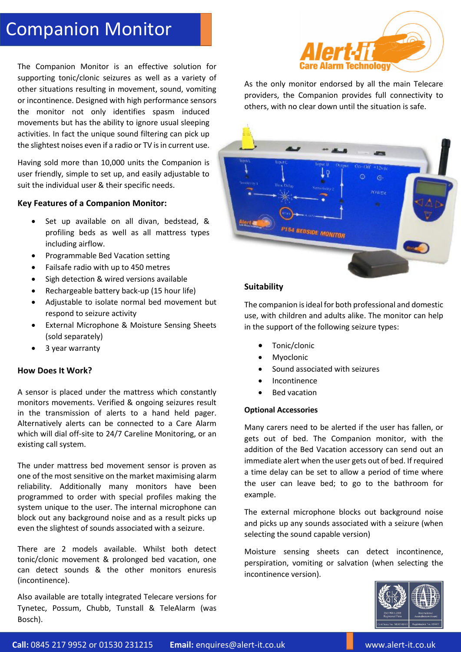## Companion Monitor

The Companion Monitor is an effective solution for supporting tonic/clonic seizures as well as a variety of other situations resulting in movement, sound, vomiting or incontinence. Designed with high performance sensors the monitor not only identifies spasm induced movements but has the ability to ignore usual sleeping activities. In fact the unique sound filtering can pick up the slightest noises even if a radio or TV is in current use.

Having sold more than 10,000 units the Companion is user friendly, simple to set up, and easily adjustable to suit the individual user & their specific needs.

#### **Key Features of a Companion Monitor:**

- Set up available on all divan, bedstead, & profiling beds as well as all mattress types including airflow.
- Programmable Bed Vacation setting
- Failsafe radio with up to 450 metres
- Sigh detection & wired versions available
- Rechargeable battery back-up (15 hour life)
- Adjustable to isolate normal bed movement but respond to seizure activity
- External Microphone & Moisture Sensing Sheets (sold separately)
- 3 year warranty

#### **How Does It Work?**

A sensor is placed under the mattress which constantly monitors movements. Verified & ongoing seizures result in the transmission of alerts to a hand held pager. Alternatively alerts can be connected to a Care Alarm which will dial off-site to 24/7 Careline Monitoring, or an existing call system.

The under mattress bed movement sensor is proven as one of the most sensitive on the market maximising alarm reliability. Additionally many monitors have been programmed to order with special profiles making the system unique to the user. The internal microphone can block out any background noise and as a result picks up even the slightest of sounds associated with a seizure.

There are 2 models available. Whilst both detect tonic/clonic movement & prolonged bed vacation, one can detect sounds & the other monitors enuresis (incontinence).

Also available are totally integrated Telecare versions for Tynetec, Possum, Chubb, Tunstall & TeleAlarm (was Bosch).



As the only monitor endorsed by all the main Telecare providers, the Companion provides full connectivity to others, with no clear down until the situation is safe.



#### **Suitability**

The companion is ideal for both professional and domestic use, with children and adults alike. The monitor can help in the support of the following seizure types:

- Tonic/clonic
- Myoclonic
- Sound associated with seizures
- Incontinence
- Bed vacation

#### **Optional Accessories**

Many carers need to be alerted if the user has fallen, or gets out of bed. The Companion monitor, with the addition of the Bed Vacation accessory can send out an immediate alert when the user gets out of bed. If required a time delay can be set to allow a period of time where the user can leave bed; to go to the bathroom for example.

The external microphone blocks out background noise and picks up any sounds associated with a seizure (when selecting the sound capable version)

Moisture sensing sheets can detect incontinence, perspiration, vomiting or salvation (when selecting the incontinence version).

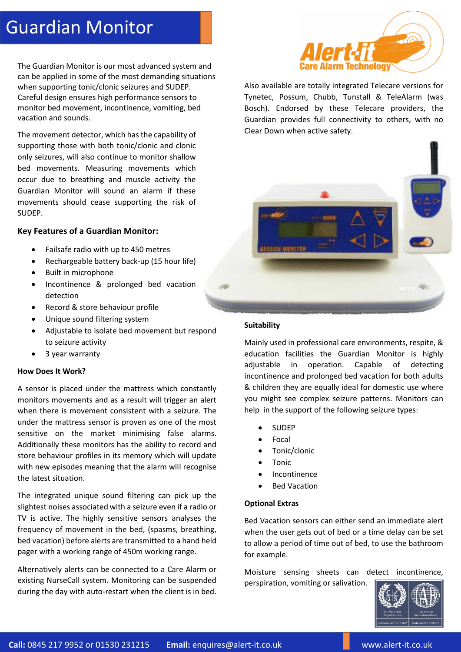# Guardian Monitor

The Guardian Monitor is our most advanced system and can be applied in some of the most demanding situations when supporting tonic/clonic seizures and SUDEP. Careful design ensures high performance sensors to monitor bed movement, incontinence, vomiting, bed vacation and sounds.

The movement detector, which has the capability of supporting those with both tonic/clonic and clonic only seizures, will also continue to monitor shallow bed movements. Measuring movements which occur due to breathing and muscle activity the Guardian Monitor will sound an alarm if these movements should cease supporting the risk of SUDEP.

#### **Key Features of a Guardian Monitor:**

- Failsafe radio with up to 450 metres
- Rechargeable battery back-up (15 hour life)
- Built in microphone
- Incontinence & prolonged bed vacation detection
- Record & store behaviour profile
- Unique sound filtering system
- Adjustable to isolate bed movement but respond to seizure activity
- 3 year warranty

#### **How Does It Work?**

A sensor is placed under the mattress which constantly monitors movements and as a result will trigger an alert when there is movement consistent with a seizure. The under the mattress sensor is proven as one of the most sensitive on the market minimising false alarms. Additionally these monitors has the ability to record and store behaviour profiles in its memory which will update with new episodes meaning that the alarm will recognise the latest situation.

The integrated unique sound filtering can pick up the slightest noises associated with a seizure even if a radio or TV is active. The highly sensitive sensors analyses the frequency of movement in the bed, (spasms, breathing, bed vacation) before alerts are transmitted to a hand held pager with a working range of 450m working range.

Alternatively alerts can be connected to a Care Alarm or existing NurseCall system. Monitoring can be suspended during the day with auto-restart when the client is in bed.



Also available are totally integrated Telecare versions for Tynetec, Possum, Chubb, Tunstall & TeleAlarm (was Bosch). Endorsed by these Telecare providers, the Guardian provides full connectivity to others, with no Clear Down when active safety.



#### **Suitability**

Mainly used in professional care environments, respite, & education facilities the Guardian Monitor is highly adjustable in operation. Capable of detecting incontinence and prolonged bed vacation for both adults & children they are equally ideal for domestic use where you might see complex seizure patterns. Monitors can help in the support of the following seizure types:

- SUDEP
- Focal
- Tonic/clonic
- Tonic
- Incontinence
- Bed Vacation

#### **Optional Extras**

Bed Vacation sensors can either send an immediate alert when the user gets out of bed or a time delay can be set to allow a period of time out of bed, to use the bathroom for example.

Moisture sensing sheets can detect incontinence, perspiration, vomiting or salivation.